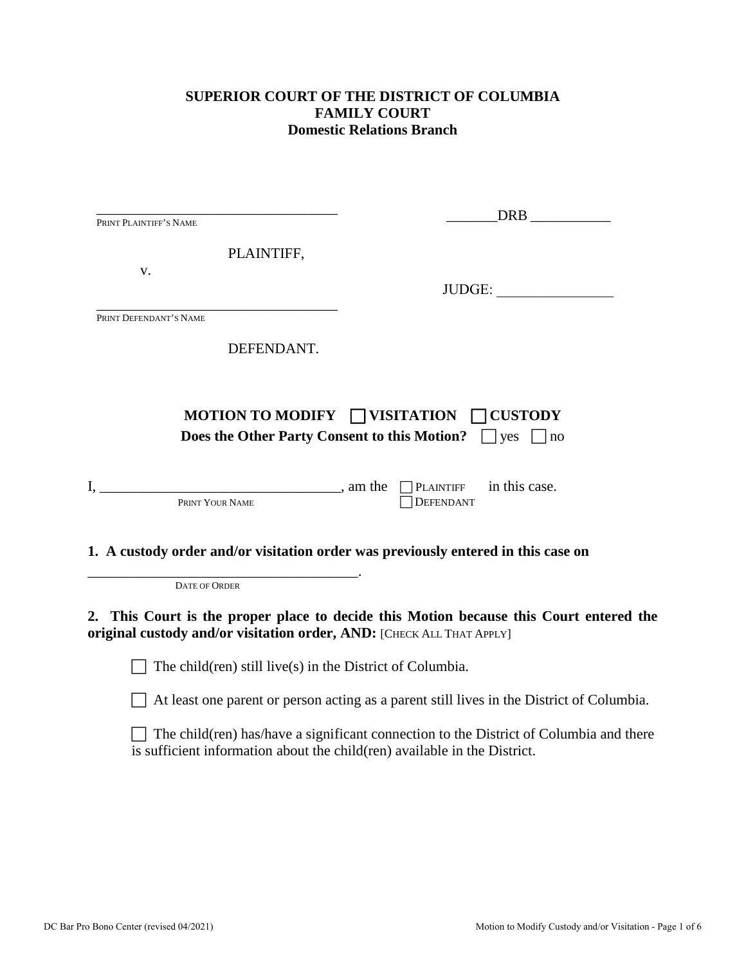### **SUPERIOR COURT OF THE DISTRICT OF COLUMBIA FAMILY COURT Domestic Relations Branch**

| PRINT PLAINTIFF'S NAME                                                | DRB FORM                                                                                                                                                              |
|-----------------------------------------------------------------------|-----------------------------------------------------------------------------------------------------------------------------------------------------------------------|
|                                                                       |                                                                                                                                                                       |
| PLAINTIFF,                                                            |                                                                                                                                                                       |
| V.                                                                    | JUDGE:                                                                                                                                                                |
| PRINT DEFENDANT'S NAME                                                |                                                                                                                                                                       |
|                                                                       |                                                                                                                                                                       |
| DEFENDANT.                                                            |                                                                                                                                                                       |
|                                                                       |                                                                                                                                                                       |
|                                                                       | MOTION TO MODIFY $\Box$ VISITATION $\Box$ CUSTODY                                                                                                                     |
|                                                                       | Does the Other Party Consent to this Motion? $\Box$ yes<br> no                                                                                                        |
|                                                                       |                                                                                                                                                                       |
| $I, \_\_\_\_\$ , am the $\_\_\$ PLAINTIFF                             | in this case.                                                                                                                                                         |
| PRINT YOUR NAME                                                       | <b>DEFENDANT</b>                                                                                                                                                      |
|                                                                       |                                                                                                                                                                       |
|                                                                       | 1. A custody order and/or visitation order was previously entered in this case on                                                                                     |
| <b>DATE OF ORDER</b>                                                  |                                                                                                                                                                       |
|                                                                       |                                                                                                                                                                       |
| original custody and/or visitation order, AND: [CHECK ALL THAT APPLY] | 2. This Court is the proper place to decide this Motion because this Court entered the                                                                                |
|                                                                       |                                                                                                                                                                       |
| The child (ren) still live (s) in the District of Columbia.           |                                                                                                                                                                       |
|                                                                       | At least one parent or person acting as a parent still lives in the District of Columbia.                                                                             |
|                                                                       | The child (ren) has/have a significant connection to the District of Columbia and there<br>is sufficient information about the child (ren) available in the District. |
|                                                                       |                                                                                                                                                                       |
|                                                                       |                                                                                                                                                                       |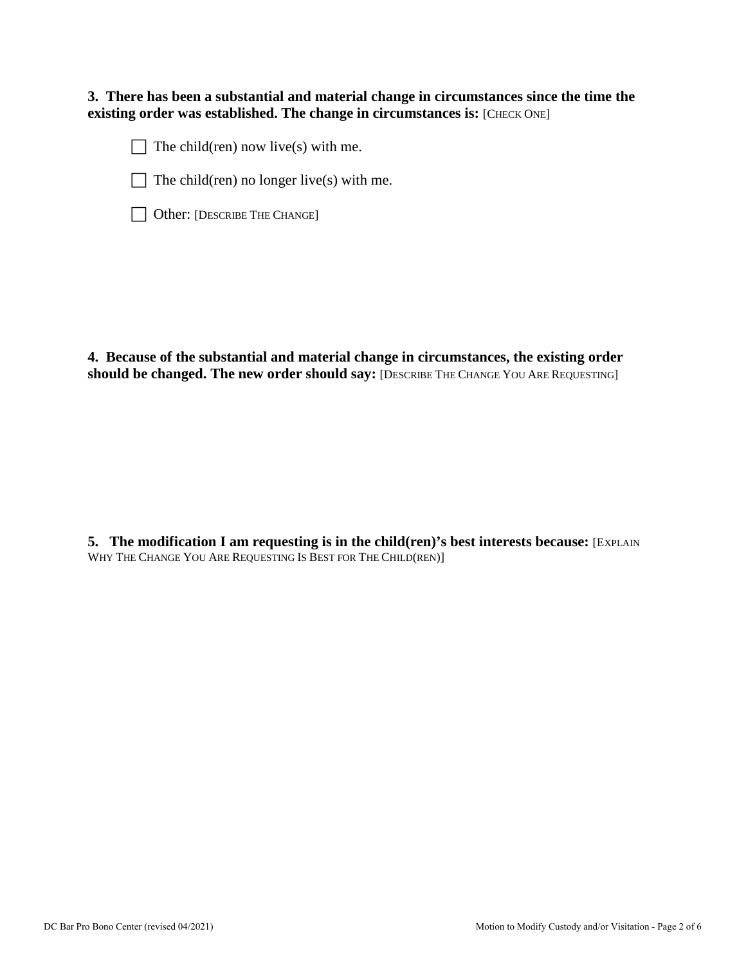#### **3. There has been a substantial and material change in circumstances since the time the existing order was established. The change in circumstances is:** [CHECK ONE]

 $\Box$  The child(ren) now live(s) with me.



 $\Box$  The child(ren) no longer live(s) with me.

|  | Other: [DESCRIBE THE CHANGE] |  |
|--|------------------------------|--|
|--|------------------------------|--|

**4. Because of the substantial and material change in circumstances, the existing order should be changed. The new order should say:** [DESCRIBE THE CHANGE YOU ARE REQUESTING]

**5.** The modification I am requesting is in the child(ren)'s best interests because: [EXPLAIN] WHY THE CHANGE YOU ARE REQUESTING IS BEST FOR THE CHILD(REN)]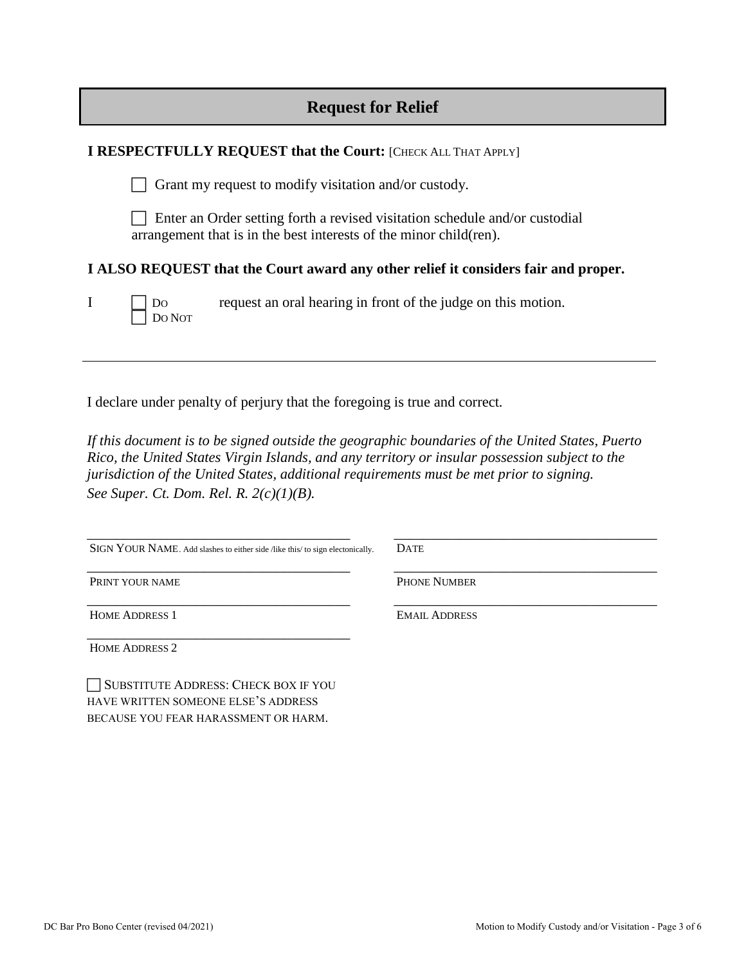| <b>Request for Relief</b> |  |  |
|---------------------------|--|--|
|---------------------------|--|--|

| <b>I RESPECTFULLY REQUEST that the Court: [CHECK ALL THAT APPLY]</b> |                                                                                                                                                    |                                                                                    |  |
|----------------------------------------------------------------------|----------------------------------------------------------------------------------------------------------------------------------------------------|------------------------------------------------------------------------------------|--|
|                                                                      |                                                                                                                                                    | Grant my request to modify visitation and/or custody.                              |  |
|                                                                      | Enter an Order setting forth a revised visitation schedule and/or custodial<br>arrangement that is in the best interests of the minor child (ren). |                                                                                    |  |
|                                                                      |                                                                                                                                                    | I ALSO REQUEST that the Court award any other relief it considers fair and proper. |  |
| $\bf{I}$                                                             | Do                                                                                                                                                 | request an oral hearing in front of the judge on this motion.                      |  |

I declare under penalty of perjury that the foregoing is true and correct*.* 

*If this document is to be signed outside the geographic boundaries of the United States, Puerto Rico, the United States Virgin Islands, and any territory or insular possession subject to the jurisdiction of the United States, additional requirements must be met prior to signing. See Super. Ct. Dom. Rel. R. 2(c)(1)(B).*

| SIGN YOUR NAME. Add slashes to either side /like this/ to sign electonically. |
|-------------------------------------------------------------------------------|

\_\_\_\_\_\_\_\_\_\_\_\_\_\_\_\_\_\_\_\_\_\_\_\_\_\_\_\_\_\_\_\_\_\_\_\_

DATE

PRINT YOUR NAME

PHONE NUMBER

EMAIL ADDRESS

\_\_\_\_\_\_\_\_\_\_\_\_\_\_\_\_\_\_\_\_\_\_\_\_\_\_\_\_\_\_\_\_\_\_\_\_

\_\_\_\_\_\_\_\_\_\_\_\_\_\_\_\_\_\_\_\_\_\_\_\_\_\_\_\_\_\_\_\_\_\_\_\_

\_\_\_\_\_\_\_\_\_\_\_\_\_\_\_\_\_\_\_\_\_\_\_\_\_\_\_\_\_\_\_\_\_\_\_\_

\_\_\_\_\_\_\_\_\_\_\_\_\_\_\_\_\_\_\_\_\_\_\_\_\_\_\_\_\_\_\_\_\_\_\_\_ HOME ADDRESS 1

\_\_\_\_\_\_\_\_\_\_\_\_\_\_\_\_\_\_\_\_\_\_\_\_\_\_\_\_\_\_\_\_\_\_\_\_ HOME ADDRESS 2

 SUBSTITUTE ADDRESS: CHECK BOX IF YOU HAVE WRITTEN SOMEONE ELSE'S ADDRESS BECAUSE YOU FEAR HARASSMENT OR HARM.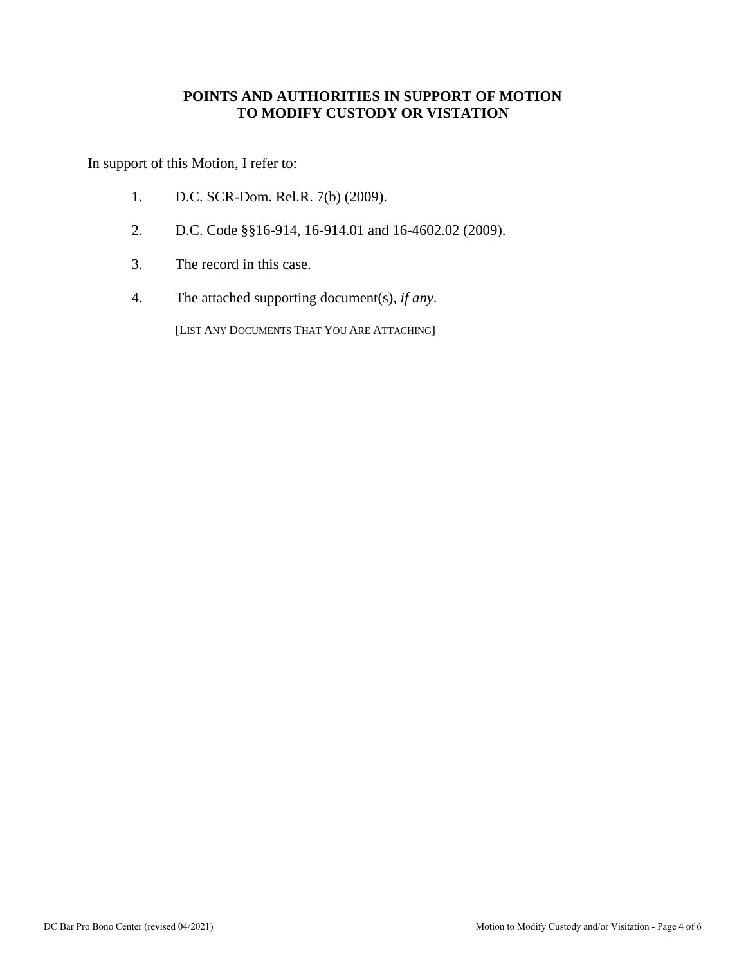#### **POINTS AND AUTHORITIES IN SUPPORT OF MOTION TO MODIFY CUSTODY OR VISTATION**

In support of this Motion, I refer to:

- 1. D.C. SCR-Dom. Rel.R. 7(b) (2009).
- 2. D.C. Code §§16-914, 16-914.01 and 16-4602.02 (2009).
- 3. The record in this case.
- 4. The attached supporting document(s), *if any*.

[LIST ANY DOCUMENTS THAT YOU ARE ATTACHING]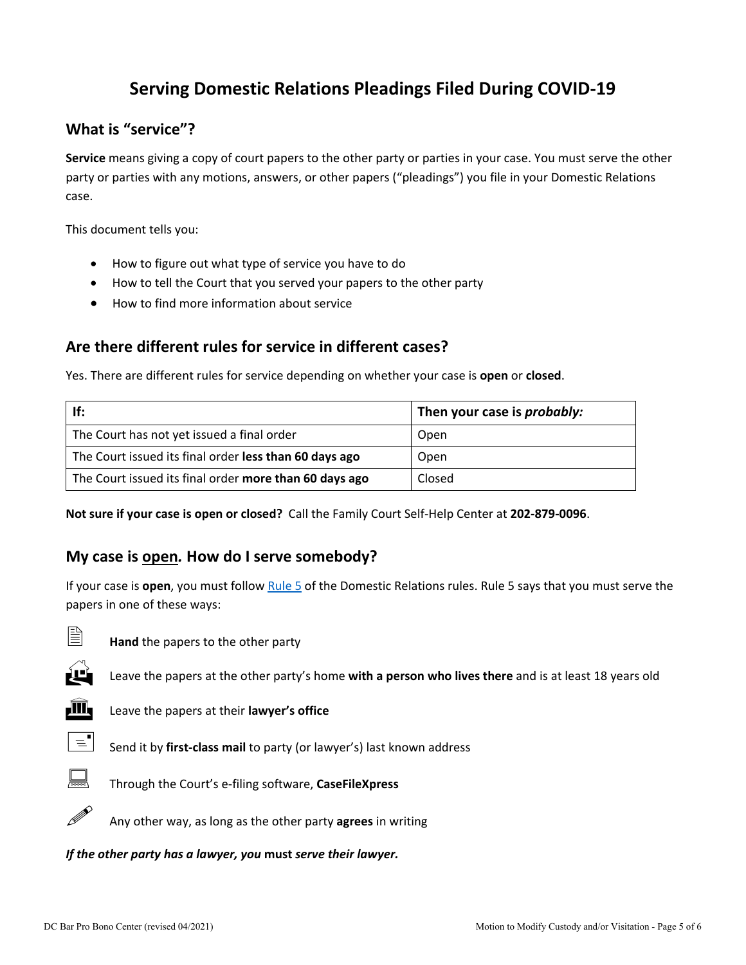# **Serving Domestic Relations Pleadings Filed During COVID-19**

## **What is "service"?**

**Service** means giving a copy of court papers to the other party or parties in your case. You must serve the other party or parties with any motions, answers, or other papers ("pleadings") you file in your Domestic Relations case.

This document tells you:

- How to figure out what type of service you have to do
- How to tell the Court that you served your papers to the other party
- How to find more information about service

## **Are there different rules for service in different cases?**

Yes. There are different rules for service depending on whether your case is **open** or **closed**.

| If:                                                    | Then your case is <i>probably:</i> |
|--------------------------------------------------------|------------------------------------|
| The Court has not yet issued a final order             | Open                               |
| The Court issued its final order less than 60 days ago | Open                               |
| The Court issued its final order more than 60 days ago | Closed                             |

**Not sure if your case is open or closed?** Call the Family Court Self-Help Center at **202-879-0096**.

#### **My case is open***.* **How do I serve somebody?**

If your case is **open**, you must follow [Rule 5](http://www.dccourts.gov/sites/default/files/rules-superior-court/DR%20Rule%205.%20Serving%20and%20Filing%20of%20Other%20Pleadings%20and%20Papers.pdf) of the Domestic Relations rules. Rule 5 says that you must serve the papers in one of these ways:



**Hand** the papers to the other party



Leave the papers at the other party's home **with a person who lives there** and is at least 18 years old



**III** Leave the papers at their **lawyer's office** 



 $\equiv$  Send it by **first-class mail** to party (or lawyer's) last known address



Through the Court's e-filing software, **CaseFileXpress**



Any other way, as long as the other party **agrees** in writing

*If the other party has a lawyer, you* **must** *serve their lawyer.*